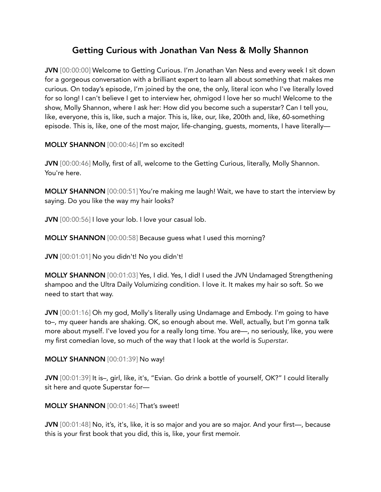# Getting Curious with Jonathan Van Ness & Molly Shannon

JVN [00:00:00] Welcome to Getting Curious. I'm Jonathan Van Ness and every week I sit down for a gorgeous conversation with a brilliant expert to learn all about something that makes me curious. On today's episode, I'm joined by the one, the only, literal icon who I've literally loved for so long! I can't believe I get to interview her, ohmigod I love her so much! Welcome to the show, Molly Shannon, where I ask her: How did you become such a superstar? Can I tell you, like, everyone, this is, like, such a major. This is, like, our, like, 200th and, like, 60-something episode. This is, like, one of the most major, life-changing, guests, moments, I have literally—

MOLLY SHANNON [00:00:46] I'm so excited!

JVN [00:00:46] Molly, first of all, welcome to the Getting Curious, literally, Molly Shannon. You're here.

MOLLY SHANNON [00:00:51] You're making me laugh! Wait, we have to start the interview by saying. Do you like the way my hair looks?

JVN [00:00:56] I love your lob. I love your casual lob.

MOLLY SHANNON [00:00:58] Because guess what I used this morning?

JVN [00:01:01] No you didn't! No you didn't!

MOLLY SHANNON [00:01:03] Yes, I did. Yes, I did! I used the JVN Undamaged Strengthening shampoo and the Ultra Daily Volumizing condition. I love it. It makes my hair so soft. So we need to start that way.

JVN [00:01:16] Oh my god, Molly's literally using Undamage and Embody. I'm going to have to–, my queer hands are shaking. OK, so enough about me. Well, actually, but I'm gonna talk more about myself. I've loved you for a really long time. You are—, no seriously, like, you were my first comedian love, so much of the way that I look at the world is *Superstar*.

MOLLY SHANNON [00:01:39] No way!

JVN [00:01:39] It is–, girl, like, it's, "Evian. Go drink a bottle of yourself, OK?" I could literally sit here and quote Superstar for—

MOLLY SHANNON [00:01:46] That's sweet!

JVN [00:01:48] No, it's, it's, like, it is so major and you are so major. And your first—, because this is your first book that you did, this is, like, your first memoir.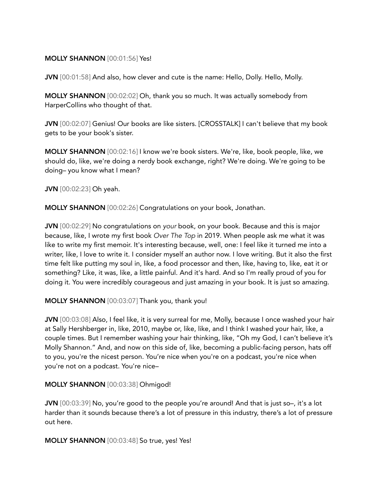#### MOLLY SHANNON [00:01:56] Yes!

JVN [00:01:58] And also, how clever and cute is the name: Hello, Dolly. Hello, Molly.

MOLLY SHANNON [00:02:02] Oh, thank you so much. It was actually somebody from HarperCollins who thought of that.

JVN [00:02:07] Genius! Our books are like sisters. [CROSSTALK] I can't believe that my book gets to be your book's sister.

MOLLY SHANNON [00:02:16] I know we're book sisters. We're, like, book people, like, we should do, like, we're doing a nerdy book exchange, right? We're doing. We're going to be doing– you know what I mean?

JVN [00:02:23] Oh yeah.

MOLLY SHANNON [00:02:26] Congratulations on your book, Jonathan.

JVN [00:02:29] No congratulations on *your* book, on your book. Because and this is major because, like, I wrote my first book *Over The Top* in 2019. When people ask me what it was like to write my first memoir. It's interesting because, well, one: I feel like it turned me into a writer, like, I love to write it. I consider myself an author now. I love writing. But it also the first time felt like putting my soul in, like, a food processor and then, like, having to, like, eat it or something? Like, it was, like, a little painful. And it's hard. And so I'm really proud of you for doing it. You were incredibly courageous and just amazing in your book. It is just so amazing.

MOLLY SHANNON [00:03:07] Thank you, thank you!

JVN [00:03:08] Also, I feel like, it is very surreal for me, Molly, because I once washed your hair at Sally Hershberger in, like, 2010, maybe or, like, like, and I think I washed your hair, like, a couple times. But I remember washing your hair thinking, like, "Oh my God, I can't believe it's Molly Shannon." And, and now on this side of, like, becoming a public-facing person, hats off to you, you're the nicest person. You're nice when you're on a podcast, you're nice when you're not on a podcast. You're nice–

#### MOLLY SHANNON [00:03:38] Ohmigod!

JVN [00:03:39] No, you're good to the people you're around! And that is just so-, it's a lot harder than it sounds because there's a lot of pressure in this industry, there's a lot of pressure out here.

MOLLY SHANNON [00:03:48] So true, yes! Yes!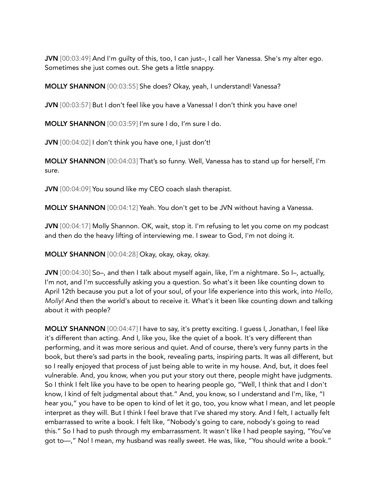JVN [00:03:49] And I'm guilty of this, too, I can just–, I call her Vanessa. She's my alter ego. Sometimes she just comes out. She gets a little snappy.

MOLLY SHANNON [00:03:55] She does? Okay, yeah, I understand! Vanessa?

JVN [00:03:57] But I don't feel like you have a Vanessa! I don't think you have one!

MOLLY SHANNON [00:03:59] I'm sure I do, I'm sure I do.

JVN [00:04:02] I don't think you have one, I just don't!

MOLLY SHANNON [00:04:03] That's so funny. Well, Vanessa has to stand up for herself, I'm sure.

JVN [00:04:09] You sound like my CEO coach slash therapist.

MOLLY SHANNON [00:04:12] Yeah. You don't get to be JVN without having a Vanessa.

JVN [00:04:17] Molly Shannon. OK, wait, stop it. I'm refusing to let you come on my podcast and then do the heavy lifting of interviewing me. I swear to God, I'm not doing it.

MOLLY SHANNON [00:04:28] Okay, okay, okay, okay.

JVN [00:04:30] So–, and then I talk about myself again, like, I'm a nightmare. So I–, actually, I'm not, and I'm successfully asking you a question. So what's it been like counting down to April 12th because you put a lot of your soul, of your life experience into this work, into *Hello, Molly!* And then the world's about to receive it. What's it been like counting down and talking about it with people?

MOLLY SHANNON [00:04:47] I have to say, it's pretty exciting. I guess I, Jonathan, I feel like it's different than acting. And I, like you, like the quiet of a book. It's very different than performing, and it was more serious and quiet. And of course, there's very funny parts in the book, but there's sad parts in the book, revealing parts, inspiring parts. It was all different, but so I really enjoyed that process of just being able to write in my house. And, but, it does feel vulnerable. And, you know, when you put your story out there, people might have judgments. So I think I felt like you have to be open to hearing people go, "Well, I think that and I don't know, I kind of felt judgmental about that." And, you know, so I understand and I'm, like, "I hear you," you have to be open to kind of let it go, too, you know what I mean, and let people interpret as they will. But I think I feel brave that I've shared my story. And I felt, I actually felt embarrassed to write a book. I felt like, "Nobody's going to care, nobody's going to read this." So I had to push through my embarrassment. It wasn't like I had people saying, "You've got to—," No! I mean, my husband was really sweet. He was, like, "You should write a book."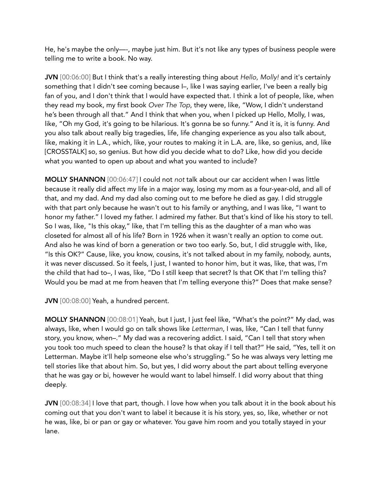He, he's maybe the only—-, maybe just him. But it's not like any types of business people were telling me to write a book. No way.

JVN [00:06:00] But I think that's a really interesting thing about *Hello, Molly!* and it's certainly something that I didn't see coming because I–, like I was saying earlier, I've been a really big fan of you, and I don't think that I would have expected that. I think a lot of people, like, when they read my book, my first book *Over The Top*, they were, like, "Wow, I didn't understand he's been through all that." And I think that when you, when I picked up Hello, Molly, I was, like, "Oh my God, it's going to be hilarious. It's gonna be so funny." And it is, it is funny. And you also talk about really big tragedies, life, life changing experience as you also talk about, like, making it in L.A., which, like, your routes to making it in L.A. are, like, so genius, and, like [CROSSTALK] so, so genius. But how did you decide what to do? Like, how did you decide what you wanted to open up about and what you wanted to include?

MOLLY SHANNON [00:06:47] I could not *not* talk about our car accident when I was little because it really did affect my life in a major way, losing my mom as a four-year-old, and all of that, and my dad. And my dad also coming out to me before he died as gay. I did struggle with that part only because he wasn't out to his family or anything, and I was like, "I want to honor my father." I loved my father. I admired my father. But that's kind of like his story to tell. So I was, like, "Is this okay," like, that I'm telling this as the daughter of a man who was closeted for almost all of his life? Born in 1926 when it wasn't really an option to come out. And also he was kind of born a generation or two too early. So, but, I did struggle with, like, "Is this OK?" Cause, like, you know, cousins, it's not talked about in my family, nobody, aunts, it was never discussed. So it feels, I just, I wanted to honor him, but it was, like, that was, I'm the child that had to–, I was, like, "Do I still keep that secret? Is that OK that I'm telling this? Would you be mad at me from heaven that I'm telling everyone this?" Does that make sense?

JVN [00:08:00] Yeah, a hundred percent.

MOLLY SHANNON [00:08:01] Yeah, but I just, I just feel like, "What's the point?" My dad, was always, like, when I would go on talk shows like *Letterman*, I was, like, "Can I tell that funny story, you know, when–." My dad was a recovering addict. I said, "Can I tell that story when you took too much speed to clean the house? Is that okay if I tell that?" He said, "Yes, tell it on Letterman. Maybe it'll help someone else who's struggling." So he was always very letting me tell stories like that about him. So, but yes, I did worry about the part about telling everyone that he was gay or bi, however he would want to label himself. I did worry about that thing deeply.

JVN [00:08:34] I love that part, though. I love how when you talk about it in the book about his coming out that you don't want to label it because it is his story, yes, so, like, whether or not he was, like, bi or pan or gay or whatever. You gave him room and you totally stayed in your lane.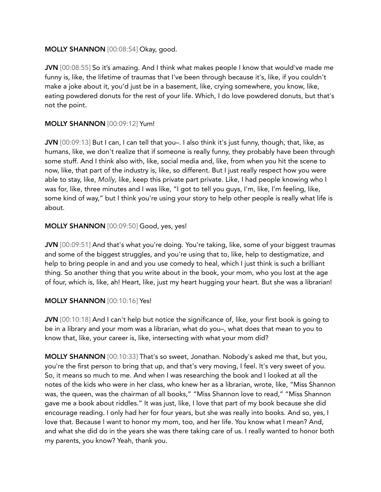# MOLLY SHANNON [00:08:54] Okay, good.

JVN [00:08:55] So it's amazing. And I think what makes people I know that would've made me funny is, like, the lifetime of traumas that I've been through because it's, like, if you couldn't make a joke about it, you'd just be in a basement, like, crying somewhere, you know, like, eating powdered donuts for the rest of your life. Which, I do love powdered donuts, but that's not the point.

# MOLLY SHANNON [00:09:12] Yum!

JVN [00:09:13] But I can, I can tell that you–. I also think it's just funny, though, that, like, as humans, like, we don't realize that if someone is really funny, they probably have been through some stuff. And I think also with, like, social media and, like, from when you hit the scene to now, like, that part of the industry is, like, so different. But I just really respect how you were able to stay, like, *Molly*, like, keep this private part private. Like, I had people knowing who I was for, like, three minutes and I was like, "I got to tell you guys, I'm, like, I'm feeling, like, some kind of way," but I think you're using your story to help other people is really what life is about.

#### MOLLY SHANNON [00:09:50] Good, yes, yes!

JVN [00:09:51] And that's what you're doing. You're taking, like, some of your biggest traumas and some of the biggest struggles, and you're using that to, like, help to destigmatize, and help to bring people in and and you use comedy to heal, which I just think is such a brilliant thing. So another thing that you write about in the book, your mom, who you lost at the age of four, which is, like, ah! Heart, like, just my heart hugging your heart. But she was a librarian!

# MOLLY SHANNON [00:10:16] Yes!

JVN [00:10:18] And I can't help but notice the significance of, like, your first book is going to be in a library and your mom was a librarian, what do you–, what does that mean to you to know that, like, your career is, like, intersecting with what your mom did?

MOLLY SHANNON [00:10:33] That's so sweet, Jonathan. Nobody's asked me that, but you, you're the first person to bring that up, and that's very moving, I feel. It's very sweet of you. So, it means so much to me. And when I was researching the book and I looked at all the notes of the kids who were in her class, who knew her as a librarian, wrote, like, "Miss Shannon was, the queen, was the chairman of all books," "Miss Shannon love to read," "Miss Shannon gave me a book about riddles." It was just, like, I love that part of my book because she did encourage reading. I only had her for four years, but she was really into books. And so, yes, I love that. Because I want to honor my mom, too, and her life. You know what I mean? And, and what she did do in the years she was there taking care of us. I really wanted to honor both my parents, you know? Yeah, thank you.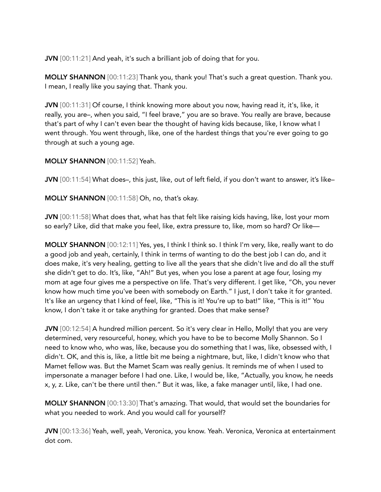JVN [00:11:21] And yeah, it's such a brilliant job of doing that for you.

MOLLY SHANNON [00:11:23] Thank you, thank you! That's such a great question. Thank you. I mean, I really like you saying that. Thank you.

JVN [00:11:31] Of course, I think knowing more about you now, having read it, it's, like, it really, you are–, when you said, "I feel brave," you are so brave. You really are brave, because that's part of why I can't even bear the thought of having kids because, like, I know what I went through. You went through, like, one of the hardest things that you're ever going to go through at such a young age.

# MOLLY SHANNON [00:11:52] Yeah.

JVN [00:11:54] What does–, this just, like, out of left field, if you don't want to answer, it's like–

MOLLY SHANNON [00:11:58] Oh, no, that's okay.

JVN [00:11:58] What does that, what has that felt like raising kids having, like, lost your mom so early? Like, did that make you feel, like, extra pressure to, like, mom so hard? Or like—

MOLLY SHANNON [00:12:11] Yes, yes, I think I think so. I think I'm very, like, really want to do a good job and yeah, certainly, I think in terms of wanting to do the best job I can do, and it does make, it's very healing, getting to live all the years that she didn't live and do all the stuff she didn't get to do. It's, like, "Ah!" But yes, when you lose a parent at age four, losing my mom at age four gives me a perspective on life. That's very different. I get like, "Oh, you never know how much time you've been with somebody on Earth." I just, I don't take it for granted. It's like an urgency that I kind of feel, like, "This is it! You're up to bat!" like, "This is it!" You know, I don't take it or take anything for granted. Does that make sense?

JVN [00:12:54] A hundred million percent. So it's very clear in Hello, Molly! that you are very determined, very resourceful, honey, which you have to be to become Molly Shannon. So I need to know who, who was, like, because you do something that I was, like, obsessed with, I didn't. OK, and this is, like, a little bit me being a nightmare, but, like, I didn't know who that Mamet fellow was. But the Mamet Scam was really genius. It reminds me of when I used to impersonate a manager before I had one. Like, I would be, like, "Actually, you know, he needs x, y, z. Like, can't be there until then." But it was, like, a fake manager until, like, I had one.

MOLLY SHANNON [00:13:30] That's amazing. That would, that would set the boundaries for what you needed to work. And you would call for yourself?

JVN [00:13:36] Yeah, well, yeah, Veronica, you know. Yeah. Veronica, Veronica at entertainment dot com.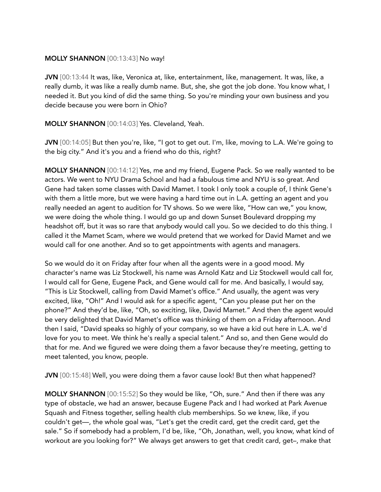#### MOLLY SHANNON [00:13:43] No way!

JVN [00:13:44 It was, like, Veronica at, like, entertainment, like, management. It was, like, a really dumb, it was like a really dumb name. But, she, she got the job done. You know what, I needed it. But you kind of did the same thing. So you're minding your own business and you decide because you were born in Ohio?

MOLLY SHANNON [00:14:03] Yes. Cleveland, Yeah.

JVN [00:14:05] But then you're, like, "I got to get out. I'm, like, moving to L.A. We're going to the big city." And it's you and a friend who do this, right?

MOLLY SHANNON [00:14:12] Yes, me and my friend, Eugene Pack. So we really wanted to be actors. We went to NYU Drama School and had a fabulous time and NYU is so great. And Gene had taken some classes with David Mamet. I took I only took a couple of, I think Gene's with them a little more, but we were having a hard time out in L.A. getting an agent and you really needed an agent to audition for TV shows. So we were like, "How can we," you know, we were doing the whole thing. I would go up and down Sunset Boulevard dropping my headshot off, but it was so rare that anybody would call you. So we decided to do this thing. I called it the Mamet Scam, where we would pretend that we worked for David Mamet and we would call for one another. And so to get appointments with agents and managers.

So we would do it on Friday after four when all the agents were in a good mood. My character's name was Liz Stockwell, his name was Arnold Katz and Liz Stockwell would call for, I would call for Gene, Eugene Pack, and Gene would call for me. And basically, I would say, "This is Liz Stockwell, calling from David Mamet's office." And usually, the agent was very excited, like, "Oh!" And I would ask for a specific agent, "Can you please put her on the phone?" And they'd be, like, "Oh, so exciting, like, David Mamet." And then the agent would be very delighted that David Mamet's office was thinking of them on a Friday afternoon. And then I said, "David speaks so highly of your company, so we have a kid out here in L.A. we'd love for you to meet. We think he's really a special talent." And so, and then Gene would do that for me. And we figured we were doing them a favor because they're meeting, getting to meet talented, you know, people.

JVN [00:15:48] Well, you were doing them a favor cause look! But then what happened?

MOLLY SHANNON [00:15:52] So they would be like, "Oh, sure." And then if there was any type of obstacle, we had an answer, because Eugene Pack and I had worked at Park Avenue Squash and Fitness together, selling health club memberships. So we knew, like, if you couldn't get—, the whole goal was, "Let's get the credit card, get the credit card, get the sale." So if somebody had a problem, I'd be, like, "Oh, Jonathan, well, you know, what kind of workout are you looking for?" We always get answers to get that credit card, get–, make that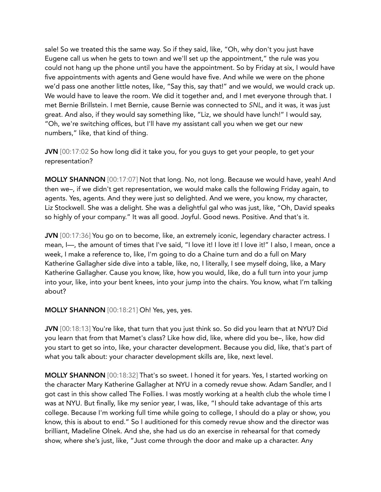sale! So we treated this the same way. So if they said, like, "Oh, why don't you just have Eugene call us when he gets to town and we'll set up the appointment," the rule was you could not hang up the phone until you have the appointment. So by Friday at six, I would have five appointments with agents and Gene would have five. And while we were on the phone we'd pass one another little notes, like, "Say this, say that!" and we would, we would crack up. We would have to leave the room. We did it together and, and I met everyone through that. I met Bernie Brillstein. I met Bernie, cause Bernie was connected to *SNL*, and it was, it was just great. And also, if they would say something like, "Liz, we should have lunch!" I would say, "Oh, we're switching offices, but I'll have my assistant call you when we get our new numbers," like, that kind of thing.

JVN [00:17:02 So how long did it take you, for you guys to get your people, to get your representation?

MOLLY SHANNON [00:17:07] Not that long. No, not long. Because we would have, yeah! And then we–, if we didn't get representation, we would make calls the following Friday again, to agents. Yes, agents. And they were just so delighted. And we were, you know, my character, Liz Stockwell. She was a delight. She was a delightful gal who was just, like, "Oh, David speaks so highly of your company." It was all good. Joyful. Good news. Positive. And that's it.

JVN [00:17:36] You go on to become, like, an extremely iconic, legendary character actress. I mean, I-, the amount of times that I've said, "I love it! I love it! I love it!" I also, I mean, once a week, I make a reference to, like, I'm going to do a Chaine turn and do a full on Mary Katherine Gallagher side dive into a table, like, no, I literally, I see myself doing, like, a Mary Katherine Gallagher. Cause you know, like, how you would, like, do a full turn into your jump into your, like, into your bent knees, into your jump into the chairs. You know, what I'm talking about?

# MOLLY SHANNON [00:18:21] Oh! Yes, yes, yes.

JVN [00:18:13] You're like, that turn that you just think so. So did you learn that at NYU? Did you learn that from that Mamet's class? Like how did, like, where did you be–, like, how did you start to get so into, like, your character development. Because you did, like, that's part of what you talk about: your character development skills are, like, next level.

MOLLY SHANNON [00:18:32] That's so sweet. I honed it for years. Yes, I started working on the character Mary Katherine Gallagher at NYU in a comedy revue show. Adam Sandler, and I got cast in this show called The Follies. I was mostly working at a health club the whole time I was at NYU. But finally, like my senior year, I was, like, "I should take advantage of this arts college. Because I'm working full time while going to college, I should do a play or show, you know, this is about to end." So I auditioned for this comedy revue show and the director was brilliant, Madeline Olnek. And she, she had us do an exercise in rehearsal for that comedy show, where she's just, like, "Just come through the door and make up a character. Any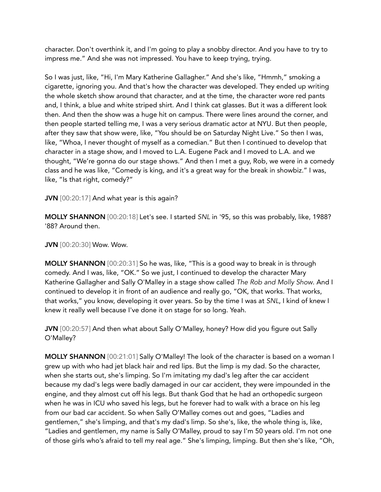character. Don't overthink it, and I'm going to play a snobby director. And you have to try to impress me." And she was not impressed. You have to keep trying, trying.

So I was just, like, "Hi, I'm Mary Katherine Gallagher." And she's like, "Hmmh," smoking a cigarette, ignoring you. And that's how the character was developed. They ended up writing the whole sketch show around that character, and at the time, the character wore red pants and, I think, a blue and white striped shirt. And I think cat glasses. But it was a different look then. And then the show was a huge hit on campus. There were lines around the corner, and then people started telling me, I was a very serious dramatic actor at NYU. But then people, after they saw that show were, like, "You should be on Saturday Night Live." So then I was, like, "Whoa, I never thought of myself as a comedian." But then I continued to develop that character in a stage show, and I moved to L.A. Eugene Pack and I moved to L.A. and we thought, "We're gonna do our stage shows." And then I met a guy, Rob, we were in a comedy class and he was like, "Comedy is king, and it's a great way for the break in showbiz." I was, like, "Is that right, comedy?"

JVN [00:20:17] And what year is this again?

MOLLY SHANNON [00:20:18] Let's see. I started *SNL* in '95, so this was probably, like, 1988? '88? Around then.

JVN [00:20:30] Wow. Wow.

MOLLY SHANNON [00:20:31] So he was, like, "This is a good way to break in is through comedy. And I was, like, "OK." So we just, I continued to develop the character Mary Katherine Gallagher and Sally O'Malley in a stage show called *The Rob and Molly Show*. And I continued to develop it in front of an audience and really go, "OK, that works. That works, that works," you know, developing it over years. So by the time I was at *SNL*, I kind of knew I knew it really well because I've done it on stage for so long. Yeah.

JVN [00:20:57] And then what about Sally O'Malley, honey? How did you figure out Sally O'Malley?

MOLLY SHANNON [00:21:01] Sally O'Malley! The look of the character is based on a woman I grew up with who had jet black hair and red lips. But the limp is my dad. So the character, when she starts out, she's limping. So I'm imitating my dad's leg after the car accident because my dad's legs were badly damaged in our car accident, they were impounded in the engine, and they almost cut off his legs. But thank God that he had an orthopedic surgeon when he was in ICU who saved his legs, but he forever had to walk with a brace on his leg from our bad car accident. So when Sally O'Malley comes out and goes, "Ladies and gentlemen," she's limping, and that's my dad's limp. So she's, like, the whole thing is, like, "Ladies and gentlemen, my name is Sally O'Malley, proud to say I'm 50 years old. I'm not one of those girls who's afraid to tell my real age." She's limping, limping. But then she's like, "Oh,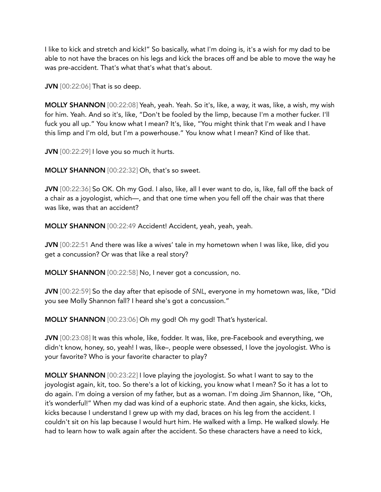I like to kick and stretch and kick!" So basically, what I'm doing is, it's a wish for my dad to be able to not have the braces on his legs and kick the braces off and be able to move the way he was pre-accident. That's what that's what that's about.

**JVN** [00:22:06] That is so deep.

MOLLY SHANNON [00:22:08] Yeah, yeah. Yeah. So it's, like, a way, it was, like, a wish, my wish for him. Yeah. And so it's, like, "Don't be fooled by the limp, because I'm a mother fucker. I'll fuck you all up." You know what I mean? It's, like, "You might think that I'm weak and I have this limp and I'm old, but I'm a powerhouse." You know what I mean? Kind of like that.

JVN [00:22:29] I love you so much it hurts.

MOLLY SHANNON [00:22:32] Oh, that's so sweet.

JVN [00:22:36] So OK. Oh my God. I also, like, all I ever want to do, is, like, fall off the back of a chair as a joyologist, which—, and that one time when you fell off the chair was that there was like, was that an accident?

MOLLY SHANNON [00:22:49 Accident! Accident, yeah, yeah, yeah.

JVN [00:22:51 And there was like a wives' tale in my hometown when I was like, like, did you get a concussion? Or was that like a real story?

MOLLY SHANNON [00:22:58] No, I never got a concussion, no.

JVN [00:22:59] So the day after that episode of *SNL*, everyone in my hometown was, like, "Did you see Molly Shannon fall? I heard she's got a concussion."

MOLLY SHANNON [00:23:06] Oh my god! Oh my god! That's hysterical.

JVN [00:23:08] It was this whole, like, fodder. It was, like, pre-Facebook and everything, we didn't know, honey, so, yeah! I was, like–, people were obsessed, I love the joyologist. Who is your favorite? Who is your favorite character to play?

MOLLY SHANNON [00:23:22] I love playing the joyologist. So what I want to say to the joyologist again, kit, too. So there's a lot of kicking, you know what I mean? So it has a lot to do again. I'm doing a version of my father, but as a woman. I'm doing Jim Shannon, like, "Oh, it's wonderful!" When my dad was kind of a euphoric state. And then again, she kicks, kicks, kicks because I understand I grew up with my dad, braces on his leg from the accident. I couldn't sit on his lap because I would hurt him. He walked with a limp. He walked slowly. He had to learn how to walk again after the accident. So these characters have a need to kick,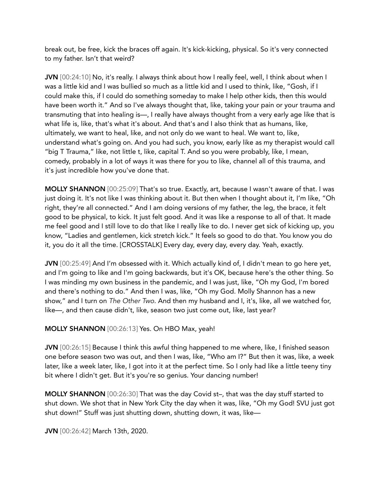break out, be free, kick the braces off again. It's kick-kicking, physical. So it's very connected to my father. Isn't that weird?

JVN [00:24:10] No, it's really. I always think about how I really feel, well, I think about when I was a little kid and I was bullied so much as a little kid and I used to think, like, "Gosh, if I could make this, if I could do something someday to make I help other kids, then this would have been worth it." And so I've always thought that, like, taking your pain or your trauma and transmuting that into healing is—, I really have always thought from a very early age like that is what life is, like, that's what it's about. And that's and I also think that as humans, like, ultimately, we want to heal, like, and not only do we want to heal. We want to, like, understand what's going on. And you had such, you know, early like as my therapist would call "big T Trauma," like, not little t, like, capital T. And so you were probably, like, I mean, comedy, probably in a lot of ways it was there for you to like, channel all of this trauma, and it's just incredible how you've done that.

MOLLY SHANNON [00:25:09] That's so true. Exactly, art, because I wasn't aware of that. I was just doing it. It's not like I was thinking about it. But then when I thought about it, I'm like, "Oh right, they're all connected." And I am doing versions of my father, the leg, the brace, it felt good to be physical, to kick. It just felt good. And it was like a response to all of that. It made me feel good and I still love to do that like I really like to do. I never get sick of kicking up, you know, "Ladies and gentlemen, kick stretch kick." It feels so good to do that. You know you do it, you do it all the time. [CROSSTALK] Every day, every day, every day. Yeah, exactly.

JVN [00:25:49] And I'm obsessed with it. Which actually kind of, I didn't mean to go here yet, and I'm going to like and I'm going backwards, but it's OK, because here's the other thing. So I was minding my own business in the pandemic, and I was just, like, "Oh my God, I'm bored and there's nothing to do." And then I was, like, "Oh my God. Molly Shannon has a new show," and I turn on *The Other Two*. And then my husband and I, it's, like, all we watched for, like—, and then cause didn't, like, season two just come out, like, last year?

# MOLLY SHANNON [00:26:13] Yes. On HBO Max, yeah!

JVN [00:26:15] Because I think this awful thing happened to me where, like, I finished season one before season two was out, and then I was, like, "Who am I?" But then it was, like, a week later, like a week later, like, I got into it at the perfect time. So I only had like a little teeny tiny bit where I didn't get. But it's you're so genius. Your dancing number!

MOLLY SHANNON [00:26:30] That was the day Covid st–, that was the day stuff started to shut down. We shot that in New York City the day when it was, like, "Oh my God! SVU just got shut down!" Stuff was just shutting down, shutting down, it was, like—

JVN [00:26:42] March 13th, 2020.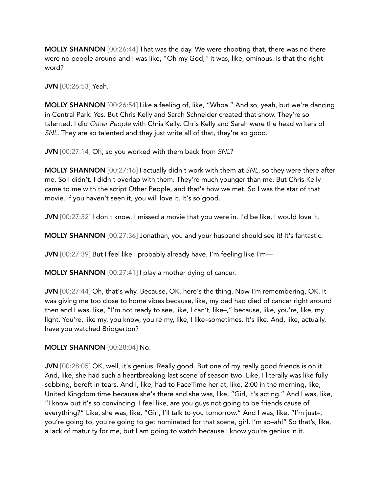MOLLY SHANNON [00:26:44] That was the day. We were shooting that, there was no there were no people around and I was like, "Oh my God," it was, like, ominous. Is that the right word?

JVN [00:26:53] Yeah.

MOLLY SHANNON [00:26:54] Like a feeling of, like, "Whoa." And so, yeah, but we're dancing in Central Park. Yes. But Chris Kelly and Sarah Schneider created that show. They're so talented. I did *Other People* with Chris Kelly, Chris Kelly and Sarah were the head writers of *SNL*. They are so talented and they just write all of that, they're so good.

JVN [00:27:14] Oh, so you worked with them back from *SNL*?

MOLLY SHANNON [00:27:16] I actually didn't work with them at *SNL*, so they were there after me. So I didn't. I didn't overlap with them. They're much younger than me. But Chris Kelly came to me with the script Other People, and that's how we met. So I was the star of that movie. If you haven't seen it, you will love it. It's so good.

JVN [00:27:32] I don't know. I missed a movie that you were in. I'd be like, I would love it.

MOLLY SHANNON [00:27:36] Jonathan, you and your husband should see it! It's fantastic.

JVN [00:27:39] But I feel like I probably already have. I'm feeling like I'm—

MOLLY SHANNON [00:27:41] I play a mother dying of cancer.

JVN [00:27:44] Oh, that's why. Because, OK, here's the thing. Now I'm remembering, OK. It was giving me too close to home vibes because, like, my dad had died of cancer right around then and I was, like, "I'm not ready to see, like, I can't, like–," because, like, you're, like, my light. You're, like my, you know, you're my, like, I like–sometimes. It's like. And, like, actually, have you watched Bridgerton?

#### MOLLY SHANNON [00:28:04] No.

JVN [00:28:05] OK, well, it's genius. Really good. But one of my really good friends is on it. And, like, she had such a heartbreaking last scene of season two. Like, I literally was like fully sobbing, bereft in tears. And I, like, had to FaceTime her at, like, 2:00 in the morning, like, United Kingdom time because she's there and she was, like, "Girl, it's acting." And I was, like, "I know but it's so convincing. I feel like, are you guys not going to be friends cause of everything?" Like, she was, like, "Girl, I'll talk to you tomorrow." And I was, like, "I'm just–, you're going to, you're going to get nominated for that scene, girl. I'm so–ah!" So that's, like, a lack of maturity for me, but I am going to watch because I know you're genius in it.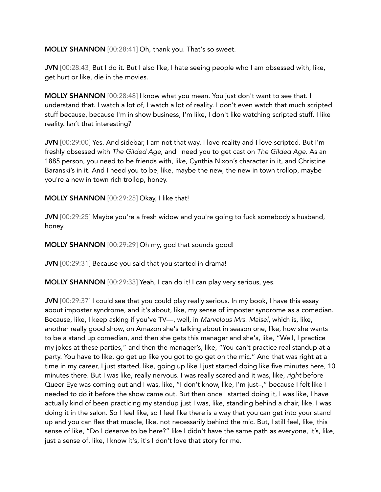MOLLY SHANNON [00:28:41] Oh, thank you. That's so sweet.

JVN [00:28:43] But I do it. But I also like, I hate seeing people who I am obsessed with, like, get hurt or like, die in the movies.

MOLLY SHANNON [00:28:48] I know what you mean. You just don't want to see that. I understand that. I watch a lot of, I watch a lot of reality. I don't even watch that much scripted stuff because, because I'm in show business, I'm like, I don't like watching scripted stuff. I like reality. Isn't that interesting?

JVN [00:29:00] Yes. And sidebar, I am not that way. I love reality and I love scripted. But I'm freshly obsessed with *The Gilded Age*, and I need you to get cast on *The Gilded Age*. As an 1885 person, you need to be friends with, like, Cynthia Nixon's character in it, and Christine Baranski's in it. And I need you to be, like, maybe the new, the new in town trollop, maybe you're a new in town rich trollop, honey.

MOLLY SHANNON [00:29:25] Okay, I like that!

JVN [00:29:25] Maybe you're a fresh widow and you're going to fuck somebody's husband, honey.

MOLLY SHANNON [00:29:29] Oh my, god that sounds good!

JVN [00:29:31] Because you said that you started in drama!

MOLLY SHANNON [00:29:33] Yeah, I can do it! I can play very serious, yes.

JVN [00:29:37] I could see that you could play really serious. In my book, I have this essay about imposter syndrome, and it's about, like, my sense of imposter syndrome as a comedian. Because, like, I keep asking if you've TV—, well, in *Marvelous Mrs. Maisel*, which is, like, another really good show, on Amazon she's talking about in season one, like, how she wants to be a stand up comedian, and then she gets this manager and she's, like, "Well, I practice my jokes at these parties," and then the manager's, like, "You can't practice real standup at a party. You have to like, go get up like you got to go get on the mic." And that was right at a time in my career, I just started, like, going up like I just started doing like five minutes here, 10 minutes there. But I was like, really nervous. I was really scared and it was, like, *right* before Queer Eye was coming out and I was, like, "I don't know, like, I'm just–," because I felt like I needed to do it before the show came out. But then once I started doing it, I was like, I have actually kind of been practicing my standup just I was, like, standing behind a chair, like, I was doing it in the salon. So I feel like, so I feel like there is a way that you can get into your stand up and you can flex that muscle, like, not necessarily behind the mic. But, I still feel, like, this sense of like, "Do I deserve to be here?" like I didn't have the same path as everyone, it's, like, just a sense of, like, I know it's, it's I don't love that story for me.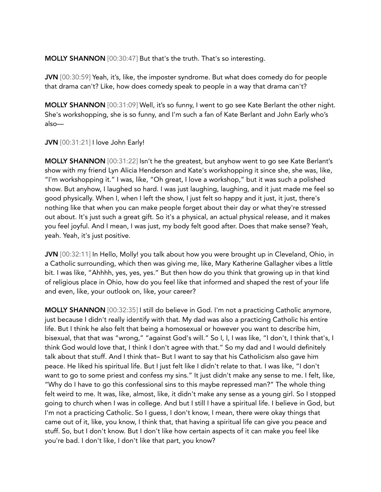MOLLY SHANNON [00:30:47] But that's the truth. That's so interesting.

JVN [00:30:59] Yeah, it's, like, the imposter syndrome. But what does comedy do for people that drama can't? Like, how does comedy speak to people in a way that drama can't?

MOLLY SHANNON [00:31:09] Well, it's so funny, I went to go see Kate Berlant the other night. She's workshopping, she is so funny, and I'm such a fan of Kate Berlant and John Early who's also—

JVN [00:31:21] I love John Early!

MOLLY SHANNON [00:31:22] Isn't he the greatest, but anyhow went to go see Kate Berlant's show with my friend Lyn Alicia Henderson and Kate's workshopping it since she, she was, like, "I'm workshopping it." I was, like, "Oh great, I love a workshop," but it was such a polished show. But anyhow, I laughed so hard. I was just laughing, laughing, and it just made me feel so good physically. When I, when I left the show, I just felt so happy and it just, it just, there's nothing like that when you can make people forget about their day or what they're stressed out about. It's just such a great gift. So it's a physical, an actual physical release, and it makes you feel joyful. And I mean, I was just, my body felt good after. Does that make sense? Yeah, yeah. Yeah, it's just positive.

JVN [00:32:11] In Hello, Molly! you talk about how you were brought up in Cleveland, Ohio, in a Catholic surrounding, which then was giving me, like, Mary Katherine Gallagher vibes a little bit. I was like, "Ahhhh, yes, yes, yes." But then how do you think that growing up in that kind of religious place in Ohio, how do you feel like that informed and shaped the rest of your life and even, like, your outlook on, like, your career?

MOLLY SHANNON [00:32:35] I still do believe in God. I'm not a practicing Catholic anymore, just because I didn't really identify with that. My dad was also a practicing Catholic his entire life. But I think he also felt that being a homosexual or however you want to describe him, bisexual, that that was "wrong," "against God's will." So I, I, I was like, "I don't, I think that's, I think God would love that, I think I don't agree with that." So my dad and I would definitely talk about that stuff. And I think that– But I want to say that his Catholicism also gave him peace. He liked his spiritual life. But I just felt like I didn't relate to that. I was like, "I don't want to go to some priest and confess my sins." It just didn't make any sense to me. I felt, like, "Why do I have to go this confessional sins to this maybe repressed man?" The whole thing felt weird to me. It was, like, almost, like, it didn't make any sense as a young girl. So I stopped going to church when I was in college. And but I still I have a spiritual life. I believe in God, but I'm not a practicing Catholic. So I guess, I don't know, I mean, there were okay things that came out of it, like, you know, I think that, that having a spiritual life can give you peace and stuff. So, but I don't know. But I don't like how certain aspects of it can make you feel like you're bad. I don't like, I don't like that part, you know?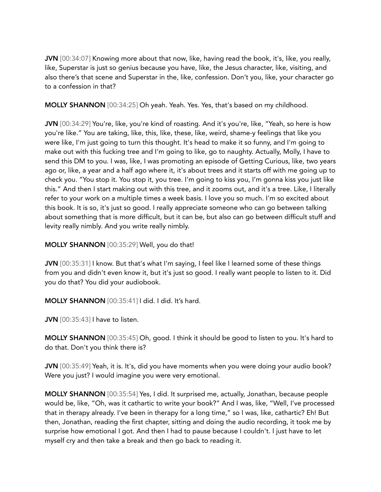JVN [00:34:07] Knowing more about that now, like, having read the book, it's, like, you really, like, Superstar is just so genius because you have, like, the Jesus character, like, visiting, and also there's that scene and Superstar in the, like, confession. Don't you, like, your character go to a confession in that?

MOLLY SHANNON [00:34:25] Oh yeah. Yeah. Yes. Yes, that's based on my childhood.

JVN [00:34:29] You're, like, you're kind of roasting. And it's you're, like, "Yeah, so here is how you're like." You are taking, like, this, like, these, like, weird, shame-y feelings that like you were like, I'm just going to turn this thought. It's head to make it so funny, and I'm going to make out with this fucking tree and I'm going to like, go to naughty. Actually, Molly, I have to send this DM to you. I was, like, I was promoting an episode of Getting Curious, like, two years ago or, like, a year and a half ago where it, it's about trees and it starts off with me going up to check you. "You stop it. You stop it, you tree. I'm going to kiss you, I'm gonna kiss you just like this." And then I start making out with this tree, and it zooms out, and it's a tree. Like, I literally refer to your work on a multiple times a week basis. I love you so much. I'm so excited about this book. It is so, it's just so good. I really appreciate someone who can go between talking about something that is more difficult, but it can be, but also can go between difficult stuff and levity really nimbly. And you write really nimbly.

MOLLY SHANNON [00:35:29] Well, you do that!

JVN  $[00:35:31]$  know. But that's what I'm saying, I feel like I learned some of these things from you and didn't even know it, but it's just so good. I really want people to listen to it. Did you do that? You did your audiobook.

MOLLY SHANNON [00:35:41] I did. I did. It's hard.

**JVN** [00:35:43] I have to listen.

MOLLY SHANNON [00:35:45] Oh, good. I think it should be good to listen to you. It's hard to do that. Don't you think there is?

JVN [00:35:49] Yeah, it is. It's, did you have moments when you were doing your audio book? Were you just? I would imagine you were very emotional.

MOLLY SHANNON [00:35:54] Yes, I did. It surprised me, actually, Jonathan, because people would be, like, "Oh, was it cathartic to write your book?" And I was, like, "Well, I've processed that in therapy already. I've been in therapy for a long time," so I was, like, cathartic? Eh! But then, Jonathan, reading the first chapter, sitting and doing the audio recording, it took me by surprise how emotional I got. And then I had to pause because I couldn't. I just have to let myself cry and then take a break and then go back to reading it.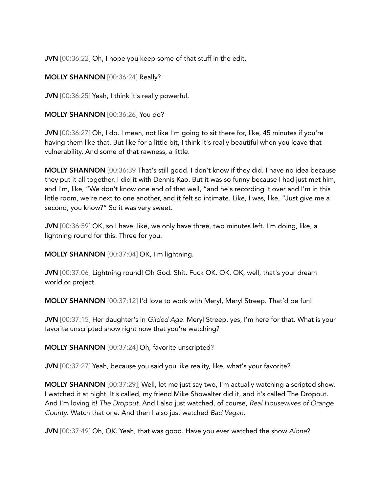JVN [00:36:22] Oh, I hope you keep some of that stuff in the edit.

MOLLY SHANNON [00:36:24] Really?

JVN [00:36:25] Yeah, I think it's really powerful.

MOLLY SHANNON [00:36:26] You do?

JVN [00:36:27] Oh, I do. I mean, not like I'm going to sit there for, like, 45 minutes if you're having them like that. But like for a little bit, I think it's really beautiful when you leave that vulnerability. And some of that rawness, a little.

MOLLY SHANNON [00:36:39 That's still good. I don't know if they did. I have no idea because they put it all together. I did it with Dennis Kao. But it was so funny because I had just met him, and I'm, like, "We don't know one end of that well, "and he's recording it over and I'm in this little room, we're next to one another, and it felt so intimate. Like, I was, like, "Just give me a second, you know?" So it was very sweet.

JVN [00:36:59] OK, so I have, like, we only have three, two minutes left. I'm doing, like, a lightning round for this. Three for you.

MOLLY SHANNON [00:37:04] OK, I'm lightning.

JVN [00:37:06] Lightning round! Oh God. Shit. Fuck OK. OK. OK, well, that's your dream world or project.

MOLLY SHANNON [00:37:12] I'd love to work with Meryl, Meryl Streep. That'd be fun!

JVN [00:37:15] Her daughter's in *Gilded Age*. Meryl Streep, yes, I'm here for that. What is your favorite unscripted show right now that you're watching?

MOLLY SHANNON [00:37:24] Oh, favorite unscripted?

JVN [00:37:27] Yeah, because you said you like reality, like, what's your favorite?

MOLLY SHANNON [00:37:29]] Well, let me just say two, I'm actually watching a scripted show. I watched it at night. It's called, my friend Mike Showalter did it, and it's called The Dropout. And I'm loving it! *The Dropout*. And I also just watched, of course, *Real Housewives of Orange County*. Watch that one. And then I also just watched *Bad Vegan*.

JVN [00:37:49] Oh, OK. Yeah, that was good. Have you ever watched the show *Alone*?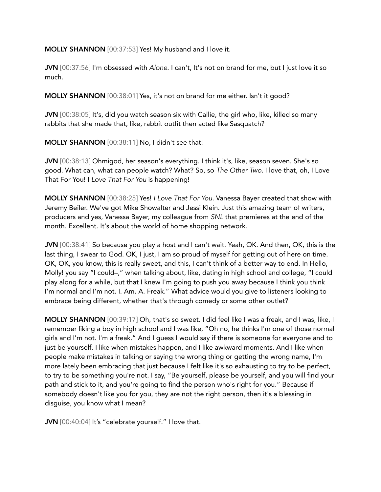MOLLY SHANNON [00:37:53] Yes! My husband and I love it.

JVN [00:37:56] I'm obsessed with *Alone*. I can't, It's not on brand for me, but I just love it so much.

MOLLY SHANNON [00:38:01] Yes, it's not on brand for me either. Isn't it good?

JVN [00:38:05] It's, did you watch season six with Callie, the girl who, like, killed so many rabbits that she made that, like, rabbit outfit then acted like Sasquatch?

MOLLY SHANNON [00:38:11] No, I didn't see that!

JVN [00:38:13] Ohmigod, her season's everything. I think it's, like, season seven. She's so good. What can, what can people watch? What? So, so *The Other Two*. I love that, oh, I Love That For You! I *Love That For You* is happening!

MOLLY SHANNON [00:38:25] Yes! *I Love That For You*. Vanessa Bayer created that show with Jeremy Beiler. We've got Mike Showalter and Jessi Klein. Just this amazing team of writers, producers and yes, Vanessa Bayer, my colleague from *SNL* that premieres at the end of the month. Excellent. It's about the world of home shopping network.

JVN [00:38:41] So because you play a host and I can't wait. Yeah, OK. And then, OK, this is the last thing, I swear to God. OK, I just, I am so proud of myself for getting out of here on time. OK, OK, you know, this is really sweet, and this, I can't think of a better way to end. In Hello, Molly! you say "I could–," when talking about, like, dating in high school and college, "I could play along for a while, but that I knew I'm going to push you away because I think you think I'm normal and I'm not. I. Am. A. Freak." What advice would you give to listeners looking to embrace being different, whether that's through comedy or some other outlet?

MOLLY SHANNON [00:39:17] Oh, that's so sweet. I did feel like I was a freak, and I was, like, I remember liking a boy in high school and I was like, "Oh no, he thinks I'm one of those normal girls and I'm not. I'm a freak." And I guess I would say if there is someone for everyone and to just be yourself. I like when mistakes happen, and I like awkward moments. And I like when people make mistakes in talking or saying the wrong thing or getting the wrong name, I'm more lately been embracing that just because I felt like it's so exhausting to try to be perfect, to try to be something you're not. I say, "Be yourself, please be yourself, and you will find your path and stick to it, and you're going to find the person who's right for you." Because if somebody doesn't like you for you, they are not the right person, then it's a blessing in disguise, you know what I mean?

JVN [00:40:04] It's "celebrate yourself." I love that.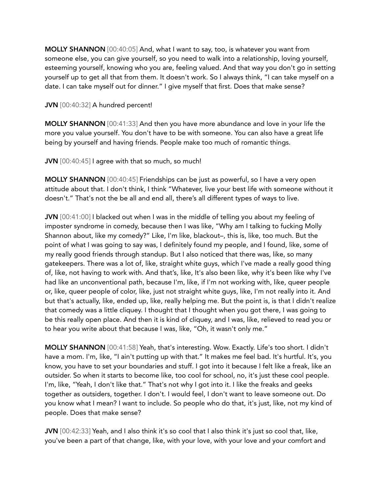MOLLY SHANNON [00:40:05] And, what I want to say, too, is whatever you want from someone else, you can give yourself, so you need to walk into a relationship, loving yourself, esteeming yourself, knowing who you are, feeling valued. And that way you don't go in setting yourself up to get all that from them. It doesn't work. So I always think, "I can take myself on a date. I can take myself out for dinner." I give myself that first. Does that make sense?

## JVN [00:40:32] A hundred percent!

MOLLY SHANNON [00:41:33] And then you have more abundance and love in your life the more you value yourself. You don't have to be with someone. You can also have a great life being by yourself and having friends. People make too much of romantic things.

JVN [00:40:45] I agree with that so much, so much!

MOLLY SHANNON [00:40:45] Friendships can be just as powerful, so I have a very open attitude about that. I don't think, I think "Whatever, live your best life with someone without it doesn't." That's not the be all and end all, there's all different types of ways to live.

JVN [00:41:00] I blacked out when I was in the middle of telling you about my feeling of imposter syndrome in comedy, because then I was like, "Why am I talking to fucking Molly Shannon about, like my comedy?" Like, I'm like, blackout–, this is, like, too much. But the point of what I was going to say was, I definitely found my people, and I found, like, some of my really good friends through standup. But I also noticed that there was, like, so many gatekeepers. There was a lot of, like, straight white guys, which I've made a really good thing of, like, not having to work with. And that's, like, It's also been like, why it's been like why I've had like an unconventional path, because I'm, like, if I'm not working with, like, queer people or, like, queer people of color, like, just not straight white guys, like, I'm not really into it. And but that's actually, like, ended up, like, really helping me. But the point is, is that I didn't realize that comedy was a little cliquey. I thought that I thought when you got there, I was going to be this really open place. And then it is kind of cliquey, and I was, like, relieved to read you or to hear you write about that because I was, like, "Oh, it wasn't only me."

MOLLY SHANNON [00:41:58] Yeah, that's interesting. Wow. Exactly. Life's too short. I didn't have a mom. I'm, like, "I ain't putting up with that." It makes me feel bad. It's hurtful. It's, you know, you have to set your boundaries and stuff. I got into it because I felt like a freak, like an outsider. So when it starts to become like, too cool for school, no, it's just these cool people. I'm, like, "Yeah, I don't like that." That's not why I got into it. I like the freaks and geeks together as outsiders, together. I don't. I would feel, I don't want to leave someone out. Do you know what I mean? I want to include. So people who do that, it's just, like, not my kind of people. Does that make sense?

JVN [00:42:33] Yeah, and I also think it's so cool that I also think it's just so cool that, like, you've been a part of that change, like, with your love, with your love and your comfort and